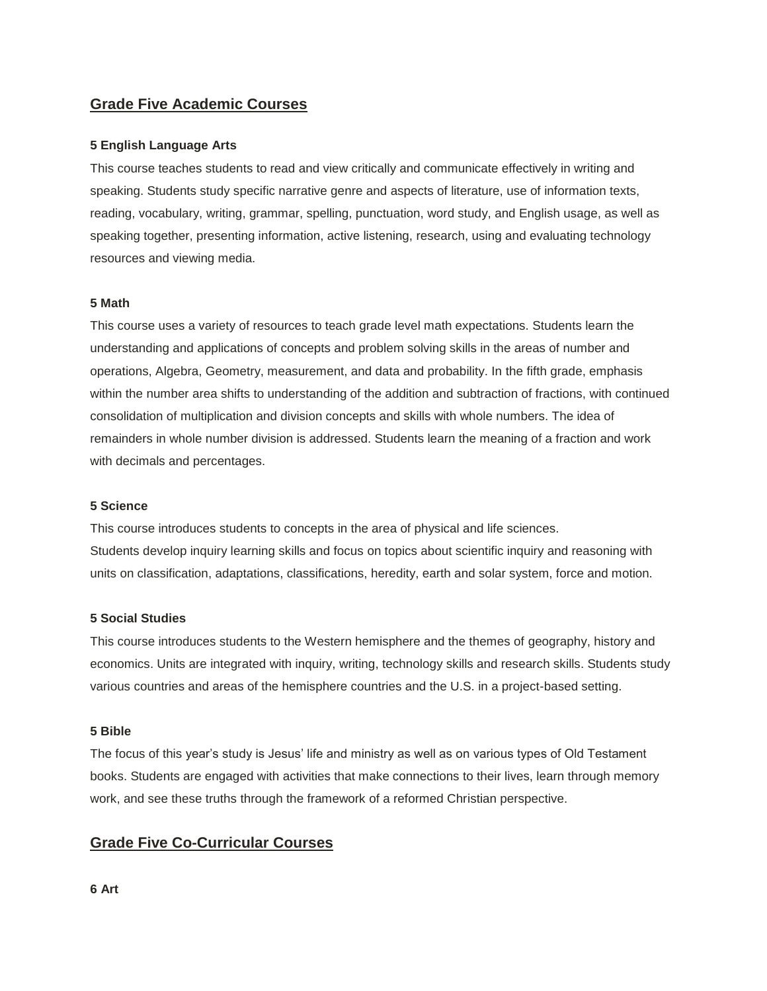# **Grade Five Academic Courses**

## **5 English Language Arts**

This course teaches students to read and view critically and communicate effectively in writing and speaking. Students study specific narrative genre and aspects of literature, use of information texts, reading, vocabulary, writing, grammar, spelling, punctuation, word study, and English usage, as well as speaking together, presenting information, active listening, research, using and evaluating technology resources and viewing media.

## **5 Math**

This course uses a variety of resources to teach grade level math expectations. Students learn the understanding and applications of concepts and problem solving skills in the areas of number and operations, Algebra, Geometry, measurement, and data and probability. In the fifth grade, emphasis within the number area shifts to understanding of the addition and subtraction of fractions, with continued consolidation of multiplication and division concepts and skills with whole numbers. The idea of remainders in whole number division is addressed. Students learn the meaning of a fraction and work with decimals and percentages.

#### **5 Science**

This course introduces students to concepts in the area of physical and life sciences. Students develop inquiry learning skills and focus on topics about scientific inquiry and reasoning with units on classification, adaptations, classifications, heredity, earth and solar system, force and motion.

## **5 Social Studies**

This course introduces students to the Western hemisphere and the themes of geography, history and economics. Units are integrated with inquiry, writing, technology skills and research skills. Students study various countries and areas of the hemisphere countries and the U.S. in a project-based setting.

## **5 Bible**

The focus of this year's study is Jesus' life and ministry as well as on various types of Old Testament books. Students are engaged with activities that make connections to their lives, learn through memory work, and see these truths through the framework of a reformed Christian perspective.

# **Grade Five Co-Curricular Courses**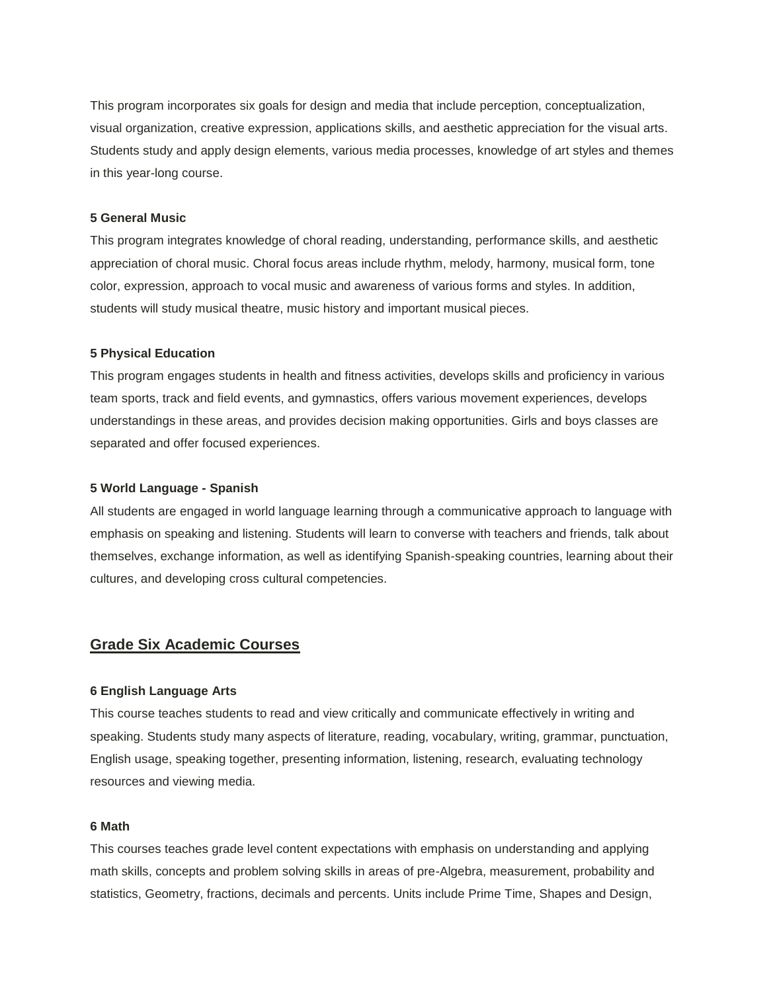This program incorporates six goals for design and media that include perception, conceptualization, visual organization, creative expression, applications skills, and aesthetic appreciation for the visual arts. Students study and apply design elements, various media processes, knowledge of art styles and themes in this year-long course.

#### **5 General Music**

This program integrates knowledge of choral reading, understanding, performance skills, and aesthetic appreciation of choral music. Choral focus areas include rhythm, melody, harmony, musical form, tone color, expression, approach to vocal music and awareness of various forms and styles. In addition, students will study musical theatre, music history and important musical pieces.

#### **5 Physical Education**

This program engages students in health and fitness activities, develops skills and proficiency in various team sports, track and field events, and gymnastics, offers various movement experiences, develops understandings in these areas, and provides decision making opportunities. Girls and boys classes are separated and offer focused experiences.

## **5 World Language - Spanish**

All students are engaged in world language learning through a communicative approach to language with emphasis on speaking and listening. Students will learn to converse with teachers and friends, talk about themselves, exchange information, as well as identifying Spanish-speaking countries, learning about their cultures, and developing cross cultural competencies.

# **Grade Six Academic Courses**

#### **6 English Language Arts**

This course teaches students to read and view critically and communicate effectively in writing and speaking. Students study many aspects of literature, reading, vocabulary, writing, grammar, punctuation, English usage, speaking together, presenting information, listening, research, evaluating technology resources and viewing media.

## **6 Math**

This courses teaches grade level content expectations with emphasis on understanding and applying math skills, concepts and problem solving skills in areas of pre-Algebra, measurement, probability and statistics, Geometry, fractions, decimals and percents. Units include Prime Time, Shapes and Design,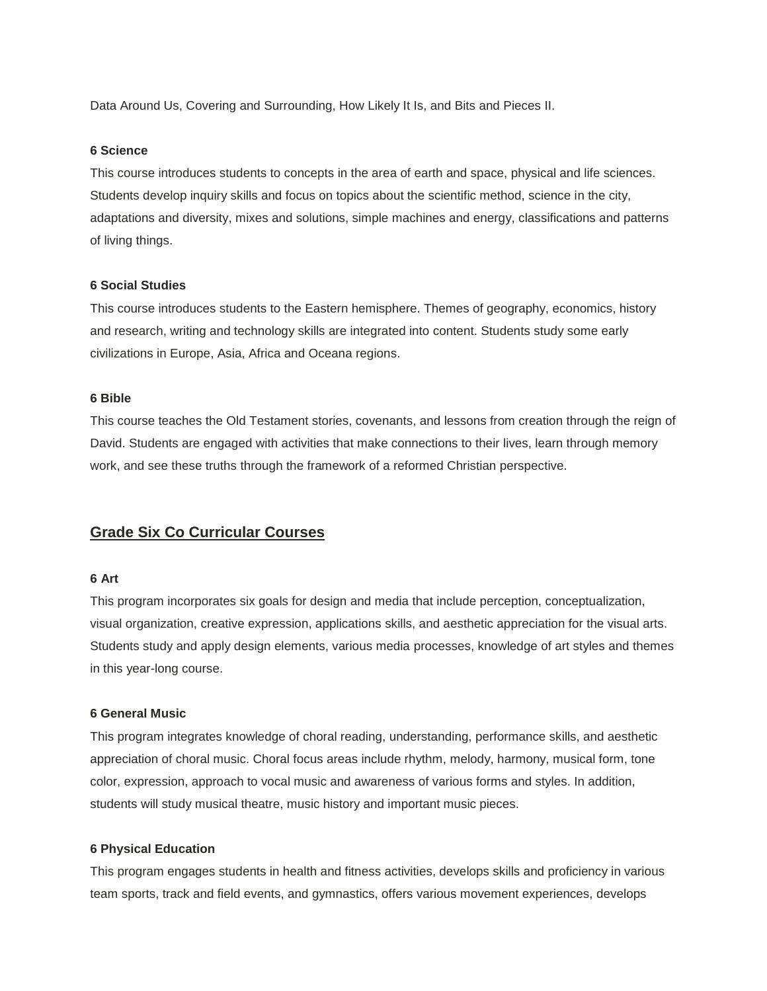Data Around Us, Covering and Surrounding, How Likely It Is, and Bits and Pieces II.

#### **6 Science**

This course introduces students to concepts in the area of earth and space, physical and life sciences. Students develop inquiry skills and focus on topics about the scientific method, science in the city, adaptations and diversity, mixes and solutions, simple machines and energy, classifications and patterns of living things.

## **6 Social Studies**

This course introduces students to the Eastern hemisphere. Themes of geography, economics, history and research, writing and technology skills are integrated into content. Students study some early civilizations in Europe, Asia, Africa and Oceana regions.

#### **6 Bible**

This course teaches the Old Testament stories, covenants, and lessons from creation through the reign of David. Students are engaged with activities that make connections to their lives, learn through memory work, and see these truths through the framework of a reformed Christian perspective.

# **Grade Six Co Curricular Courses**

## **6 Art**

This program incorporates six goals for design and media that include perception, conceptualization, visual organization, creative expression, applications skills, and aesthetic appreciation for the visual arts. Students study and apply design elements, various media processes, knowledge of art styles and themes in this year-long course.

#### **6 General Music**

This program integrates knowledge of choral reading, understanding, performance skills, and aesthetic appreciation of choral music. Choral focus areas include rhythm, melody, harmony, musical form, tone color, expression, approach to vocal music and awareness of various forms and styles. In addition, students will study musical theatre, music history and important music pieces.

#### **6 Physical Education**

This program engages students in health and fitness activities, develops skills and proficiency in various team sports, track and field events, and gymnastics, offers various movement experiences, develops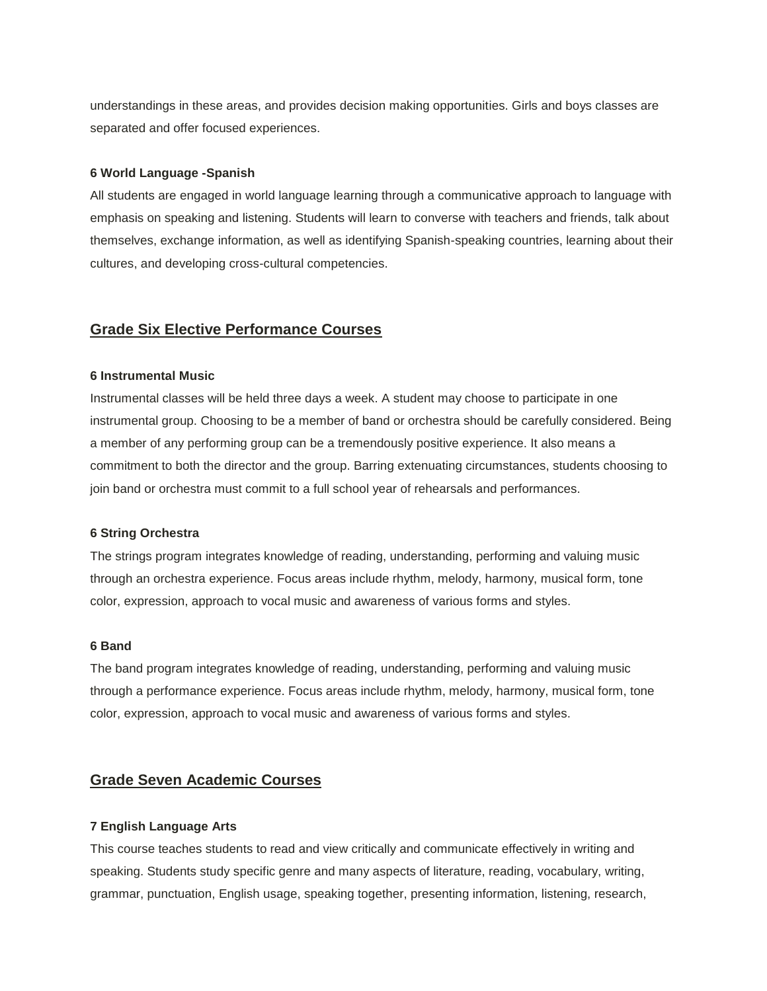understandings in these areas, and provides decision making opportunities. Girls and boys classes are separated and offer focused experiences.

## **6 World Language -Spanish**

All students are engaged in world language learning through a communicative approach to language with emphasis on speaking and listening. Students will learn to converse with teachers and friends, talk about themselves, exchange information, as well as identifying Spanish-speaking countries, learning about their cultures, and developing cross-cultural competencies.

# **Grade Six Elective Performance Courses**

## **6 Instrumental Music**

Instrumental classes will be held three days a week. A student may choose to participate in one instrumental group. Choosing to be a member of band or orchestra should be carefully considered. Being a member of any performing group can be a tremendously positive experience. It also means a commitment to both the director and the group. Barring extenuating circumstances, students choosing to join band or orchestra must commit to a full school year of rehearsals and performances.

#### **6 String Orchestra**

The strings program integrates knowledge of reading, understanding, performing and valuing music through an orchestra experience. Focus areas include rhythm, melody, harmony, musical form, tone color, expression, approach to vocal music and awareness of various forms and styles.

## **6 Band**

The band program integrates knowledge of reading, understanding, performing and valuing music through a performance experience. Focus areas include rhythm, melody, harmony, musical form, tone color, expression, approach to vocal music and awareness of various forms and styles.

# **Grade Seven Academic Courses**

## **7 English Language Arts**

This course teaches students to read and view critically and communicate effectively in writing and speaking. Students study specific genre and many aspects of literature, reading, vocabulary, writing, grammar, punctuation, English usage, speaking together, presenting information, listening, research,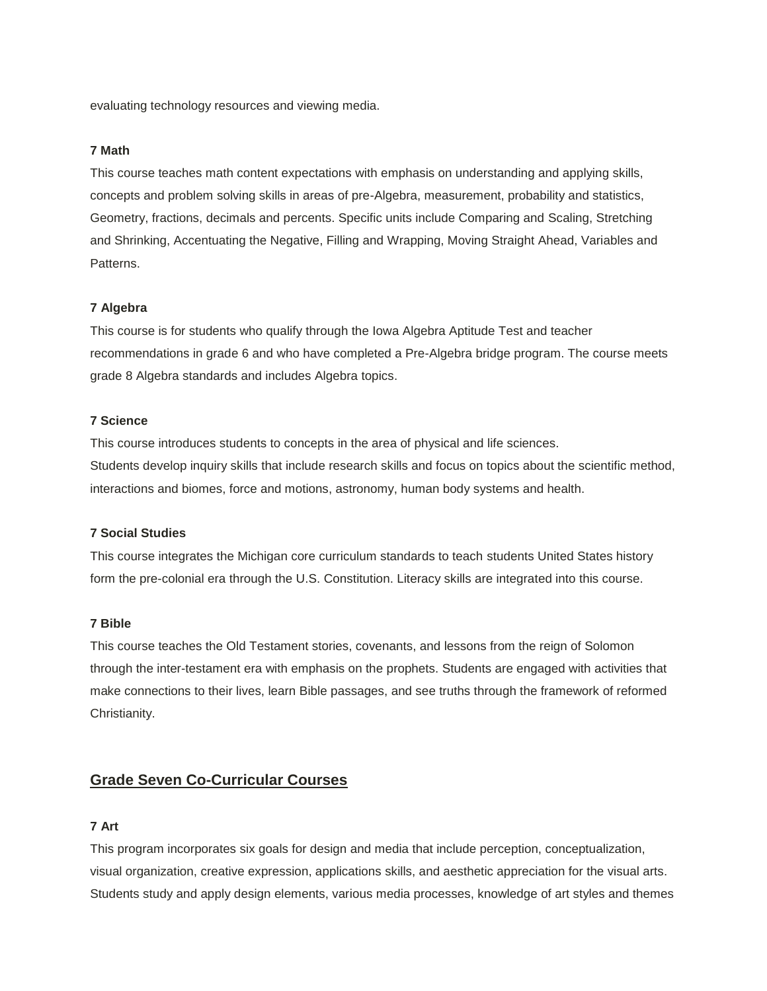evaluating technology resources and viewing media.

## **7 Math**

This course teaches math content expectations with emphasis on understanding and applying skills, concepts and problem solving skills in areas of pre-Algebra, measurement, probability and statistics, Geometry, fractions, decimals and percents. Specific units include Comparing and Scaling, Stretching and Shrinking, Accentuating the Negative, Filling and Wrapping, Moving Straight Ahead, Variables and Patterns.

## **7 Algebra**

This course is for students who qualify through the Iowa Algebra Aptitude Test and teacher recommendations in grade 6 and who have completed a Pre-Algebra bridge program. The course meets grade 8 Algebra standards and includes Algebra topics.

## **7 Science**

This course introduces students to concepts in the area of physical and life sciences. Students develop inquiry skills that include research skills and focus on topics about the scientific method, interactions and biomes, force and motions, astronomy, human body systems and health.

#### **7 Social Studies**

This course integrates the Michigan core curriculum standards to teach students United States history form the pre-colonial era through the U.S. Constitution. Literacy skills are integrated into this course.

#### **7 Bible**

This course teaches the Old Testament stories, covenants, and lessons from the reign of Solomon through the inter-testament era with emphasis on the prophets. Students are engaged with activities that make connections to their lives, learn Bible passages, and see truths through the framework of reformed Christianity.

# **Grade Seven Co-Curricular Courses**

## **7 Art**

This program incorporates six goals for design and media that include perception, conceptualization, visual organization, creative expression, applications skills, and aesthetic appreciation for the visual arts. Students study and apply design elements, various media processes, knowledge of art styles and themes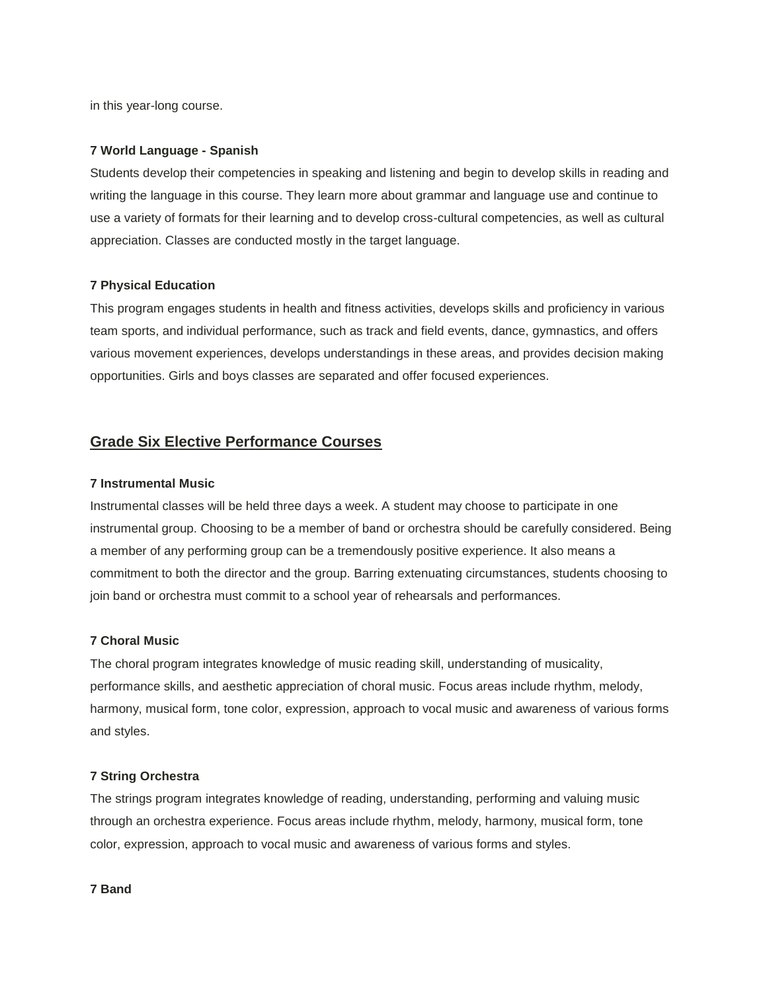in this year-long course.

## **7 World Language - Spanish**

Students develop their competencies in speaking and listening and begin to develop skills in reading and writing the language in this course. They learn more about grammar and language use and continue to use a variety of formats for their learning and to develop cross-cultural competencies, as well as cultural appreciation. Classes are conducted mostly in the target language.

## **7 Physical Education**

This program engages students in health and fitness activities, develops skills and proficiency in various team sports, and individual performance, such as track and field events, dance, gymnastics, and offers various movement experiences, develops understandings in these areas, and provides decision making opportunities. Girls and boys classes are separated and offer focused experiences.

# **Grade Six Elective Performance Courses**

## **7 Instrumental Music**

Instrumental classes will be held three days a week. A student may choose to participate in one instrumental group. Choosing to be a member of band or orchestra should be carefully considered. Being a member of any performing group can be a tremendously positive experience. It also means a commitment to both the director and the group. Barring extenuating circumstances, students choosing to join band or orchestra must commit to a school year of rehearsals and performances.

#### **7 Choral Music**

The choral program integrates knowledge of music reading skill, understanding of musicality, performance skills, and aesthetic appreciation of choral music. Focus areas include rhythm, melody, harmony, musical form, tone color, expression, approach to vocal music and awareness of various forms and styles.

## **7 String Orchestra**

The strings program integrates knowledge of reading, understanding, performing and valuing music through an orchestra experience. Focus areas include rhythm, melody, harmony, musical form, tone color, expression, approach to vocal music and awareness of various forms and styles.

## **7 Band**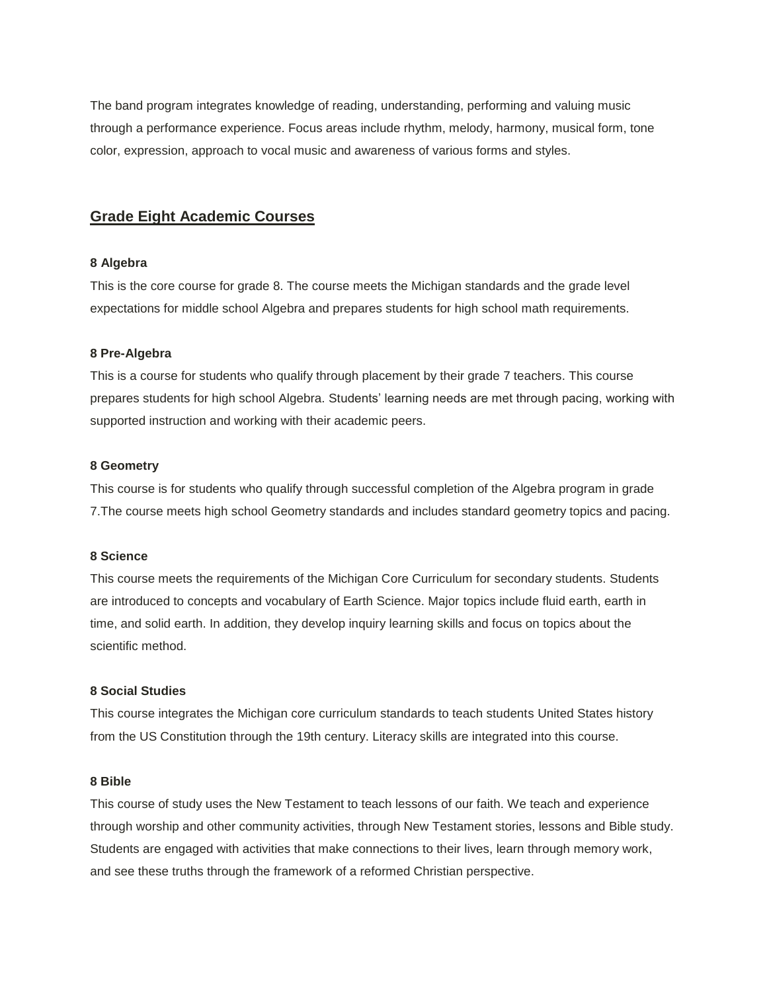The band program integrates knowledge of reading, understanding, performing and valuing music through a performance experience. Focus areas include rhythm, melody, harmony, musical form, tone color, expression, approach to vocal music and awareness of various forms and styles.

## **Grade Eight Academic Courses**

#### **8 Algebra**

This is the core course for grade 8. The course meets the Michigan standards and the grade level expectations for middle school Algebra and prepares students for high school math requirements.

#### **8 Pre-Algebra**

This is a course for students who qualify through placement by their grade 7 teachers. This course prepares students for high school Algebra. Students' learning needs are met through pacing, working with supported instruction and working with their academic peers.

#### **8 Geometry**

This course is for students who qualify through successful completion of the Algebra program in grade 7.The course meets high school Geometry standards and includes standard geometry topics and pacing.

## **8 Science**

This course meets the requirements of the Michigan Core Curriculum for secondary students. Students are introduced to concepts and vocabulary of Earth Science. Major topics include fluid earth, earth in time, and solid earth. In addition, they develop inquiry learning skills and focus on topics about the scientific method.

## **8 Social Studies**

This course integrates the Michigan core curriculum standards to teach students United States history from the US Constitution through the 19th century. Literacy skills are integrated into this course.

## **8 Bible**

This course of study uses the New Testament to teach lessons of our faith. We teach and experience through worship and other community activities, through New Testament stories, lessons and Bible study. Students are engaged with activities that make connections to their lives, learn through memory work, and see these truths through the framework of a reformed Christian perspective.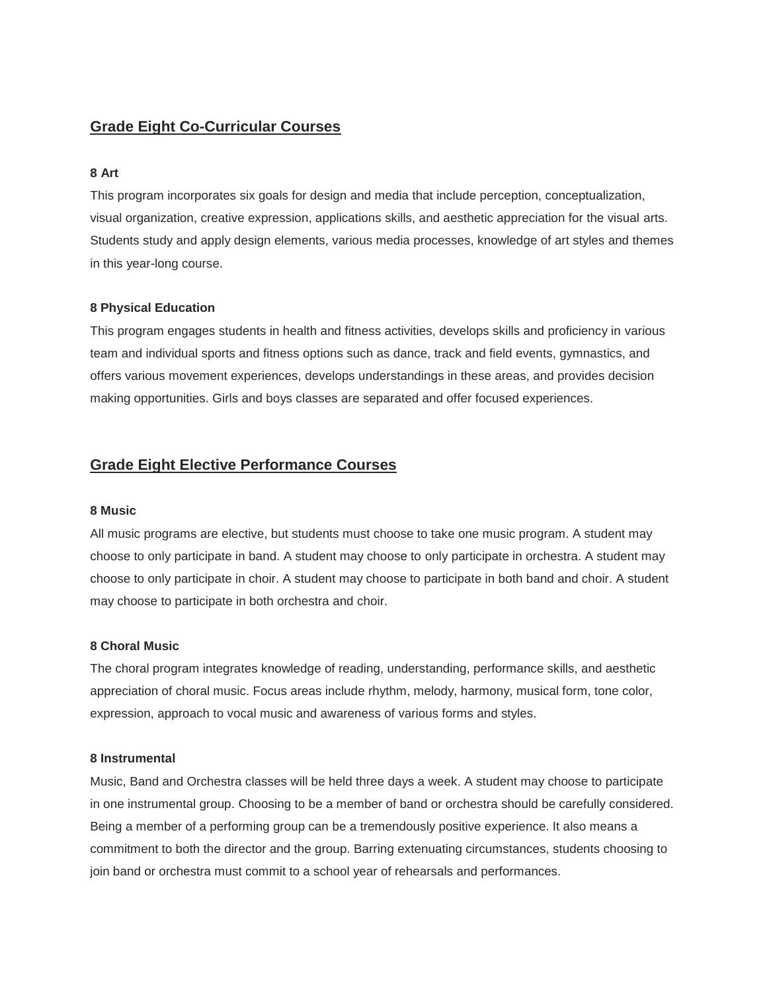# **Grade Eight Co-Curricular Courses**

# **8 Art**

This program incorporates six goals for design and media that include perception, conceptualization, visual organization, creative expression, applications skills, and aesthetic appreciation for the visual arts. Students study and apply design elements, various media processes, knowledge of art styles and themes in this year-long course.

## **8 Physical Education**

This program engages students in health and fitness activities, develops skills and proficiency in various team and individual sports and fitness options such as dance, track and field events, gymnastics, and offers various movement experiences, develops understandings in these areas, and provides decision making opportunities. Girls and boys classes are separated and offer focused experiences.

## **Grade Eight Elective Performance Courses**

## **8 Music**

All music programs are elective, but students must choose to take one music program. A student may choose to only participate in band. A student may choose to only participate in orchestra. A student may choose to only participate in choir. A student may choose to participate in both band and choir. A student may choose to participate in both orchestra and choir.

## **8 Choral Music**

The choral program integrates knowledge of reading, understanding, performance skills, and aesthetic appreciation of choral music. Focus areas include rhythm, melody, harmony, musical form, tone color, expression, approach to vocal music and awareness of various forms and styles.

### **8 Instrumental**

Music, Band and Orchestra classes will be held three days a week. A student may choose to participate in one instrumental group. Choosing to be a member of band or orchestra should be carefully considered. Being a member of a performing group can be a tremendously positive experience. It also means a commitment to both the director and the group. Barring extenuating circumstances, students choosing to join band or orchestra must commit to a school year of rehearsals and performances.